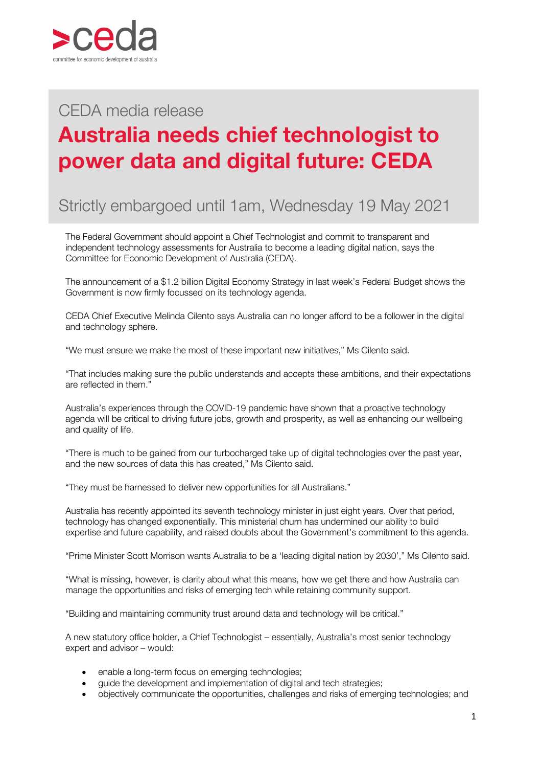

## $P$ CEDA media release

## **Australia needs chief technologist to power data and digital future: CEDA**

## Strictly embargoed until 1am, Wednesday 19 May 2021

The Federal Government should appoint a Chief Technologist and commit to transparent and independent technology assessments for Australia to become a leading digital nation, says the Committee for Economic Development of Australia (CEDA).

The announcement of a \$1.2 billion Digital Economy Strategy in last week's Federal Budget shows the Government is now firmly focussed on its technology agenda.

CEDA Chief Executive Melinda Cilento says Australia can no longer afford to be a follower in the digital and technology sphere.

"We must ensure we make the most of these important new initiatives," Ms Cilento said.

"That includes making sure the public understands and accepts these ambitions, and their expectations are reflected in them."

Australia's experiences through the COVID-19 pandemic have shown that a proactive technology agenda will be critical to driving future jobs, growth and prosperity, as well as enhancing our wellbeing and quality of life.

"There is much to be gained from our turbocharged take up of digital technologies over the past year, and the new sources of data this has created," Ms Cilento said.

"They must be harnessed to deliver new opportunities for all Australians."

Australia has recently appointed its seventh technology minister in just eight years. Over that period, technology has changed exponentially. This ministerial churn has undermined our ability to build expertise and future capability, and raised doubts about the Government's commitment to this agenda.

"Prime Minister Scott Morrison wants Australia to be a 'leading digital nation by 2030'," Ms Cilento said.

"What is missing, however, is clarity about what this means, how we get there and how Australia can manage the opportunities and risks of emerging tech while retaining community support.

"Building and maintaining community trust around data and technology will be critical."

A new statutory office holder, a Chief Technologist – essentially, Australia's most senior technology expert and advisor – would:

- enable a long-term focus on emerging technologies;
- guide the development and implementation of digital and tech strategies;
- objectively communicate the opportunities, challenges and risks of emerging technologies; and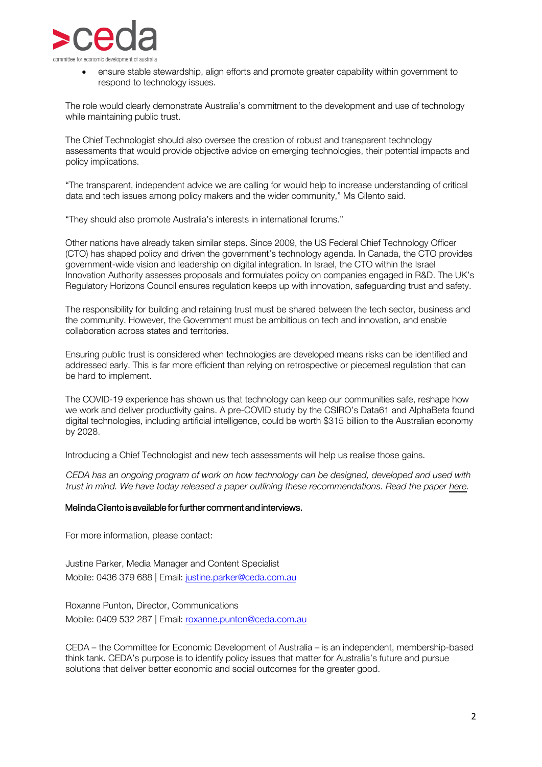

• ensure stable stewardship, align efforts and promote greater capability within government to respond to technology issues.

The role would clearly demonstrate Australia's commitment to the development and use of technology while maintaining public trust.

The Chief Technologist should also oversee the creation of robust and transparent technology assessments that would provide objective advice on emerging technologies, their potential impacts and policy implications.

"The transparent, independent advice we are calling for would help to increase understanding of critical data and tech issues among policy makers and the wider community," Ms Cilento said.

"They should also promote Australia's interests in international forums."

Other nations have already taken similar steps. Since 2009, the US Federal Chief Technology Officer (CTO) has shaped policy and driven the government's technology agenda. In Canada, the CTO provides government-wide vision and leadership on digital integration. In Israel, the CTO within the Israel Innovation Authority assesses proposals and formulates policy on companies engaged in R&D. The UK's Regulatory Horizons Council ensures regulation keeps up with innovation, safeguarding trust and safety.

The responsibility for building and retaining trust must be shared between the tech sector, business and the community. However, the Government must be ambitious on tech and innovation, and enable collaboration across states and territories.

Ensuring public trust is considered when technologies are developed means risks can be identified and addressed early. This is far more efficient than relying on retrospective or piecemeal regulation that can be hard to implement.

The COVID-19 experience has shown us that technology can keep our communities safe, reshape how we work and deliver productivity gains. A pre-COVID study by the CSIRO's Data61 and AlphaBeta found digital technologies, including artificial intelligence, could be worth \$315 billion to the Australian economy by 2028.

Introducing a Chief Technologist and new tech assessments will help us realise those gains.

*CEDA has an ongoing program of work on how technology can be designed, developed and used with trust in mind. We have today released a paper outlining these recommendations. Read the paper [here.](https://www.ceda.com.au/Admin/getmedia/c2efb0fb-940c-4091-845a-e11d759333b7/CEDA-technology-and-trust-paper-2021-FINAL.pdf)* 

## Melinda Cilento is available for further comment and interviews.

For more information, please contact:

Justine Parker, Media Manager and Content Specialist Mobile: 0436 379 688 | Email: justine.parker@ceda.com.au

Roxanne Punton, Director, Communications Mobile: 0409 532 287 | Email: roxanne.punton@ceda.com.au

CEDA – the Committee for Economic Development of Australia – is an independent, membership-based think tank. CEDA's purpose is to identify policy issues that matter for Australia's future and pursue solutions that deliver better economic and social outcomes for the greater good.